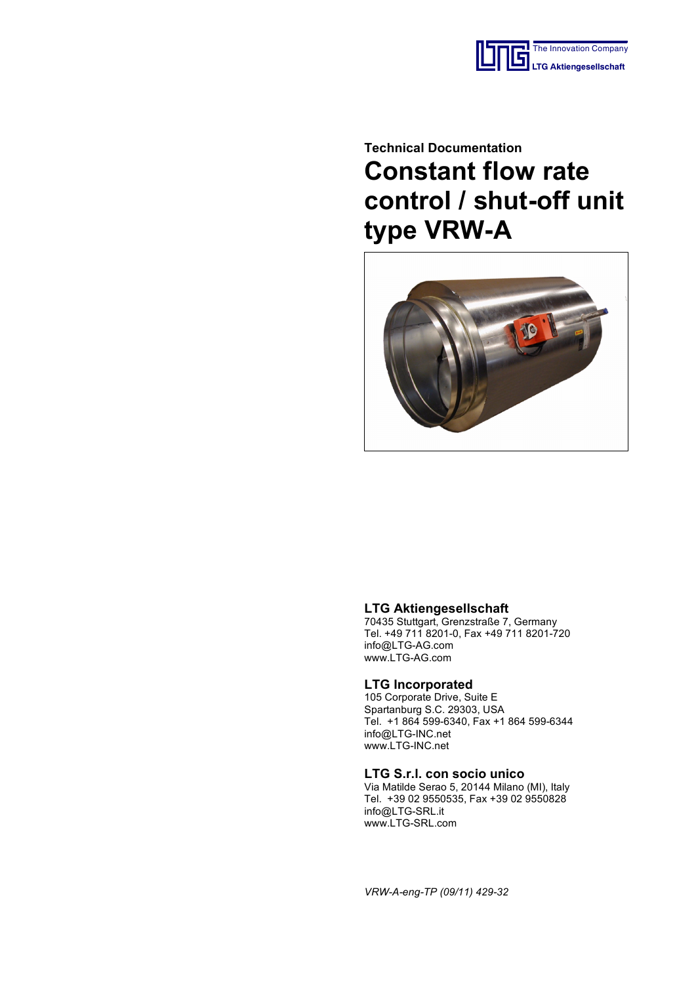

# **Technical Documentation Constant flow rate control / shut-off unit type VRW-A**



## **LTG Aktiengesellschaft**

70435 Stuttgart, Grenzstraße 7, Germany Tel. +49 711 8201-0, Fax +49 711 8201-720 info@LTG-AG.com www.LTG-AG.com

## **LTG Incorporated**

105 Corporate Drive, Suite E Spartanburg S.C. 29303, USA Tel. +1 864 599-6340, Fax +1 864 599-6344 info@LTG-INC.net www.LTG-INC.net

#### **LTG S.r.l. con socio unico**

Via Matilde Serao 5, 20144 Milano (MI), Italy Tel. +39 02 9550535, Fax +39 02 9550828 info@LTG-SRL.it www.LTG-SRL.com

*VRW-A-eng-TP (09/11) 429-32*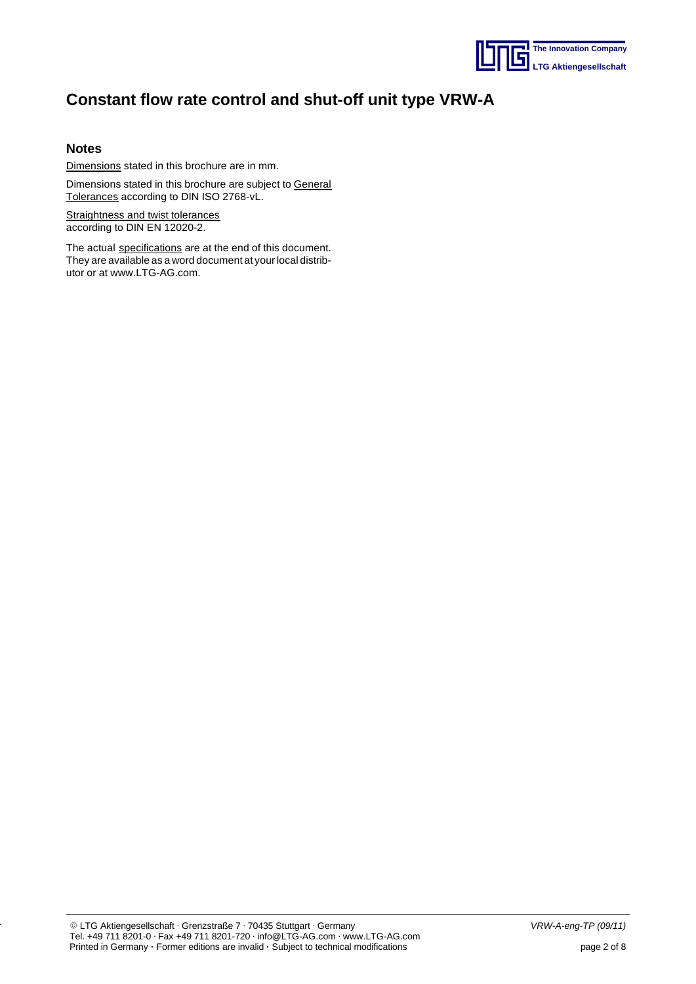

## **Notes**

Dimensions stated in this brochure are in mm.

Dimensions stated in this brochure are subject to General Tolerances according to DIN ISO 2768-vL.

Straightness and twist tolerances according to DIN EN 12020-2.

The actual specifications are at the end of this document. They are available as a word document at your local distributor or at www.LTG-AG.com.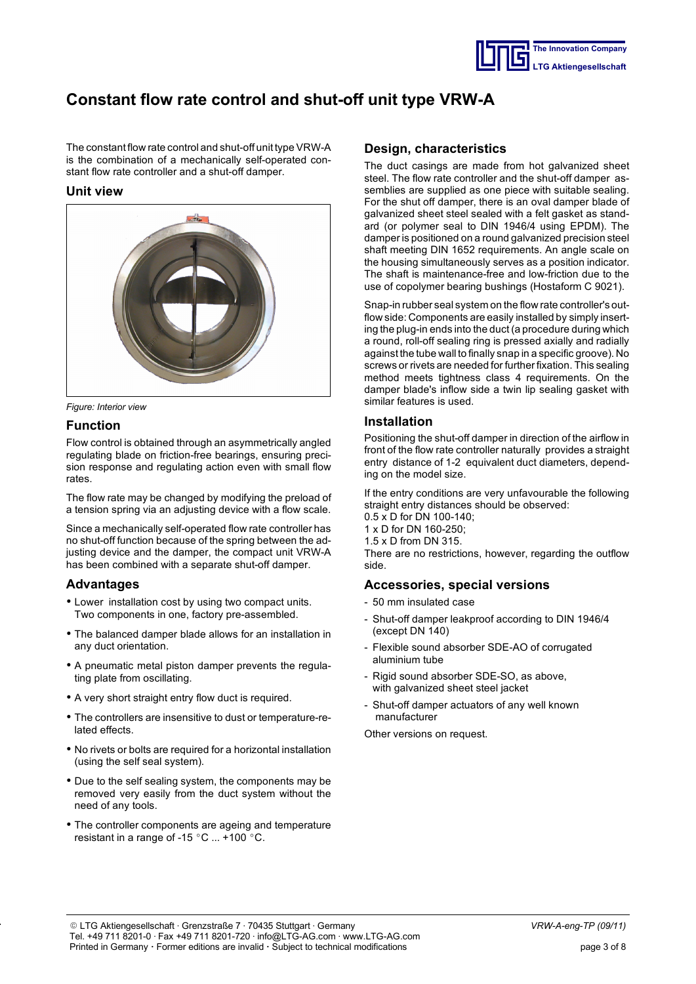

The constant flow rate control and shut-off unit type VRW-A is the combination of a mechanically self-operated constant flow rate controller and a shut-off damper.

## **Unit view**



*Figure: Interior view*

## **Function**

Flow control is obtained through an asymmetrically angled regulating blade on friction-free bearings, ensuring precision response and regulating action even with small flow rates.

The flow rate may be changed by modifying the preload of a tension spring via an adjusting device with a flow scale.

Since a mechanically self-operated flow rate controller has no shut-off function because of the spring between the adjusting device and the damper, the compact unit VRW-A has been combined with a separate shut-off damper.

## **Advantages**

- Lower installation cost by using two compact units. Two components in one, factory pre-assembled.
- The balanced damper blade allows for an installation in any duct orientation.
- A pneumatic metal piston damper prevents the regulating plate from oscillating.
- A very short straight entry flow duct is required.
- The controllers are insensitive to dust or temperature-related effects.
- No rivets or bolts are required for a horizontal installation (using the self seal system).
- Due to the self sealing system, the components may be removed very easily from the duct system without the need of any tools.
- The controller components are ageing and temperature resistant in a range of -15  $^{\circ}$ C  $...$  +100  $^{\circ}$ C.

## **Design, characteristics**

The duct casings are made from hot galvanized sheet steel. The flow rate controller and the shut-off damper assemblies are supplied as one piece with suitable sealing. For the shut off damper, there is an oval damper blade of galvanized sheet steel sealed with a felt gasket as standard (or polymer seal to DIN 1946/4 using EPDM). The damper is positioned on a round galvanized precision steel shaft meeting DIN 1652 requirements. An angle scale on the housing simultaneously serves as a position indicator. The shaft is maintenance-free and low-friction due to the use of copolymer bearing bushings (Hostaform C 9021).

Snap-in rubber seal system on the flow rate controller's outflow side: Components are easily installed by simply inserting the plug-in ends into the duct (a procedure during which a round, roll-off sealing ring is pressed axially and radially against the tube wall to finally snap in a specific groove). No screws or rivets are needed for further fixation. This sealing method meets tightness class 4 requirements. On the damper blade's inflow side a twin lip sealing gasket with similar features is used.

## **Installation**

Positioning the shut-off damper in direction of the airflow in front of the flow rate controller naturally provides a straight entry distance of 1-2 equivalent duct diameters, depending on the model size.

If the entry conditions are very unfavourable the following straight entry distances should be observed:

- 0.5 x D for DN 100-140;
- 1 x D for DN 160-250;
- 1.5 x D from DN 315.

There are no restrictions, however, regarding the outflow side.

## **Accessories, special versions**

- 50 mm insulated case
- Shut-off damper leakproof according to DIN 1946/4 (except DN 140)
- Flexible sound absorber SDE-AO of corrugated aluminium tube
- Rigid sound absorber SDE-SO, as above, with galvanized sheet steel jacket
- Shut-off damper actuators of any well known manufacturer

Other versions on request.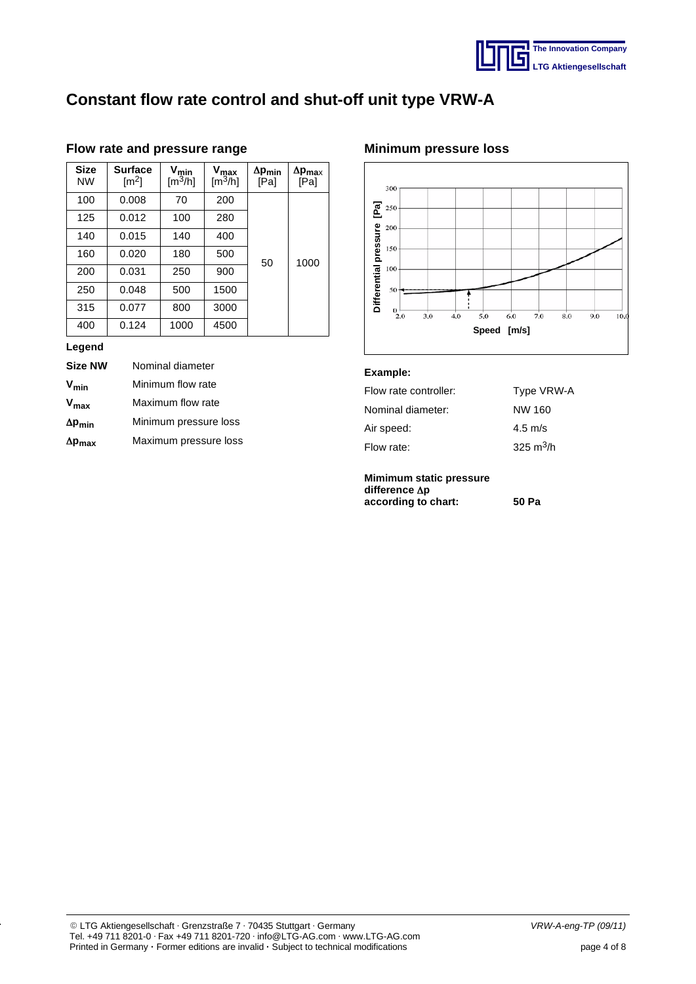

| <b>Size</b><br><b>NW</b> | <b>Surface</b><br>$\lbrack m^2 \rbrack$ | $V_{min}$<br>$\left[\frac{m^3}{h}\right]$ | $V_{max}$<br>$\left[\frac{m^3}{h}\right]$ | $\Delta p_{min}$<br>[Pa] | $\Delta p_{\text{max}}$<br>[Pa] |  |
|--------------------------|-----------------------------------------|-------------------------------------------|-------------------------------------------|--------------------------|---------------------------------|--|
| 100                      | 0.008                                   | 70                                        | 200                                       |                          |                                 |  |
| 125                      | 0.012                                   | 100                                       | 280                                       |                          |                                 |  |
| 140                      | 0.015                                   | 140                                       | 400                                       |                          |                                 |  |
| 160                      | 0.020                                   | 180                                       | 500                                       | 50                       | 1000                            |  |
| 200                      | 0.031                                   | 250                                       | 900                                       |                          |                                 |  |
| 250                      | 0.048                                   | 500                                       | 1500                                      |                          |                                 |  |
| 315                      | 0.077                                   | 800                                       | 3000                                      |                          |                                 |  |
| 400                      | 0.124                                   | 1000                                      | 4500                                      |                          |                                 |  |

## **Flow rate and pressure range**

## **Legend**

| <b>Size NW</b>   | Nominal diameter      |
|------------------|-----------------------|
| $V_{min}$        | Minimum flow rate     |
| $V_{\text{max}}$ | Maximum flow rate     |
| $\Delta p_{min}$ | Minimum pressure loss |
| $\Delta p_{max}$ | Maximum pressure loss |

## **Minimum pressure loss**



### **Example:**

| Flow rate controller: | Type VRW-A        |
|-----------------------|-------------------|
| Nominal diameter:     | NW 160            |
| Air speed:            | $4.5 \text{ m/s}$ |
| Flow rate:            | 325 $m^3/h$       |
|                       |                   |

#### **Mimimum static pressure** difference  $\Delta p$ **according to chart: 50 Pa**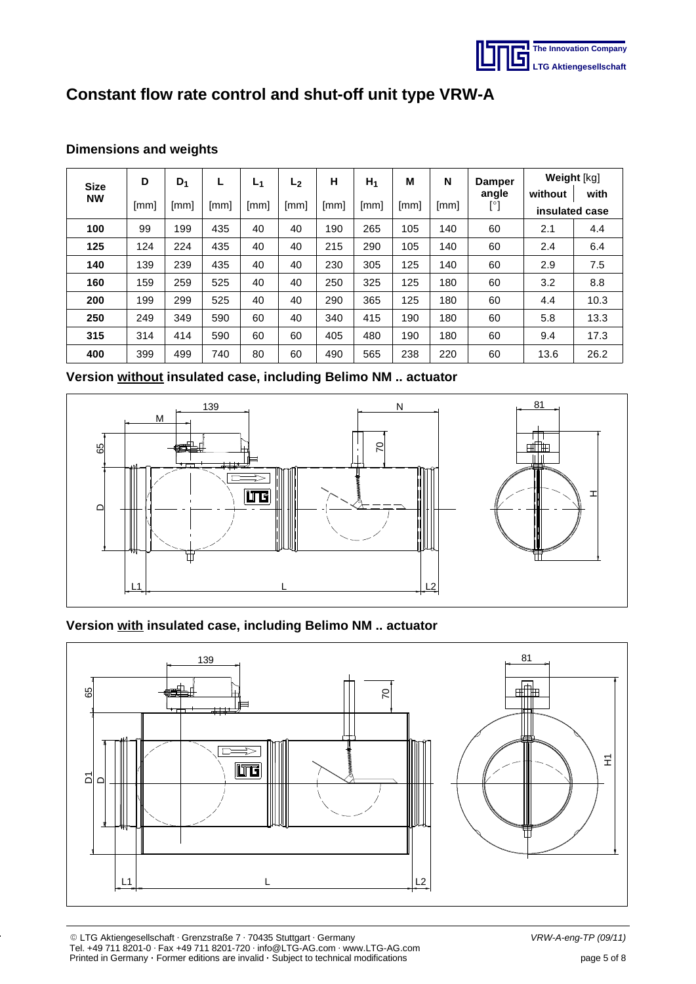

| <b>Size</b> | D    | $D_1$ |      | L <sub>1</sub> | L <sub>2</sub> | н    | $H_1$ | М    | N    | Damper<br>angle | Weight [kg]               |      |
|-------------|------|-------|------|----------------|----------------|------|-------|------|------|-----------------|---------------------------|------|
| <b>NW</b>   | [mm] | [mm]  | [mm] | [mm]           | [mm]           | [mm] | [mm]  | [mm] | [mm] | [°]             | without<br>insulated case | with |
| 100         | 99   | 199   | 435  | 40             | 40             | 190  | 265   | 105  | 140  | 60              | 2.1                       | 4.4  |
| 125         | 124  | 224   | 435  | 40             | 40             | 215  | 290   | 105  | 140  | 60              | 2.4                       | 6.4  |
| 140         | 139  | 239   | 435  | 40             | 40             | 230  | 305   | 125  | 140  | 60              | 2.9                       | 7.5  |
| 160         | 159  | 259   | 525  | 40             | 40             | 250  | 325   | 125  | 180  | 60              | 3.2                       | 8.8  |
| 200         | 199  | 299   | 525  | 40             | 40             | 290  | 365   | 125  | 180  | 60              | 4.4                       | 10.3 |
| 250         | 249  | 349   | 590  | 60             | 40             | 340  | 415   | 190  | 180  | 60              | 5.8                       | 13.3 |
| 315         | 314  | 414   | 590  | 60             | 60             | 405  | 480   | 190  | 180  | 60              | 9.4                       | 17.3 |
| 400         | 399  | 499   | 740  | 80             | 60             | 490  | 565   | 238  | 220  | 60              | 13.6                      | 26.2 |

## **Dimensions and weights**

**Version without insulated case, including Belimo NM .. actuator**



## **Version with insulated case, including Belimo NM .. actuator**

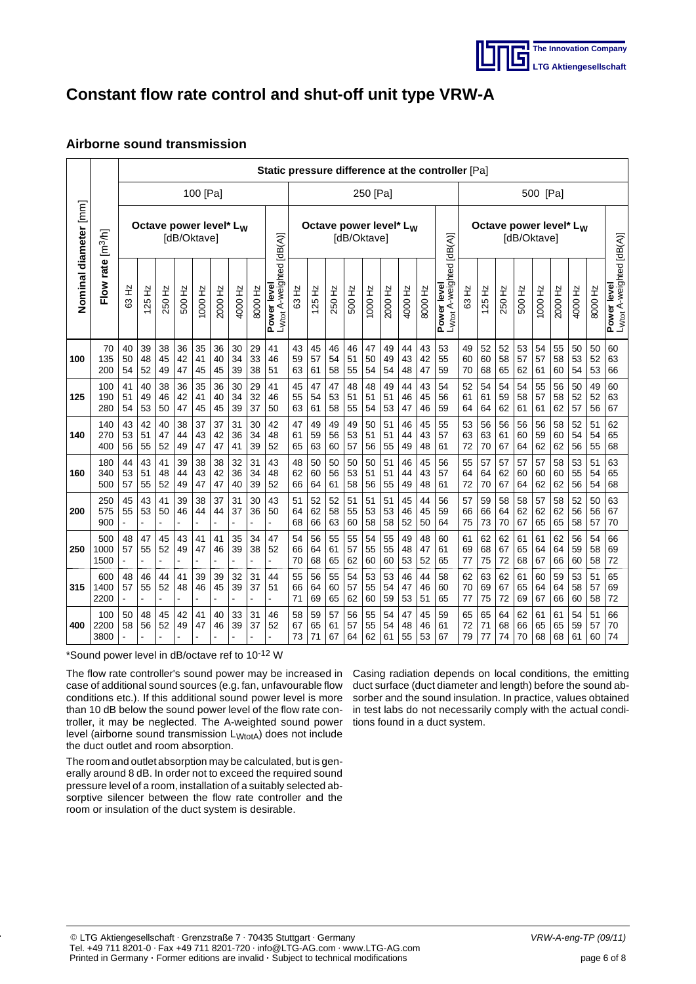

## **Airborne sound transmission**

|                       |                          |                                                   | Static pressure difference at the controller [Pa] |                |                |                |                |                |                |                                                          |                |                |                |                |                |                                                   |                |                |                                                     |                |                |                |                |                |                |                |                |                                                     |
|-----------------------|--------------------------|---------------------------------------------------|---------------------------------------------------|----------------|----------------|----------------|----------------|----------------|----------------|----------------------------------------------------------|----------------|----------------|----------------|----------------|----------------|---------------------------------------------------|----------------|----------------|-----------------------------------------------------|----------------|----------------|----------------|----------------|----------------|----------------|----------------|----------------|-----------------------------------------------------|
|                       |                          | 100 [Pa]                                          |                                                   |                |                |                |                | 250 [Pa]       |                |                                                          |                |                |                |                | 500 [Pa]       |                                                   |                |                |                                                     |                |                |                |                |                |                |                |                |                                                     |
| Nominal diameter [mm] | rate [m <sup>3</sup> /h] | Octave power level* L <sub>W</sub><br>[dB/Oktave] |                                                   |                |                |                |                |                |                | Octave power level* L <sub>W</sub><br><b>IdB/Oktavel</b> |                |                |                |                |                | Octave power level* L <sub>W</sub><br>[dB/Oktave] |                |                |                                                     |                |                |                |                |                |                |                |                |                                                     |
|                       | Flow                     | 63 Hz                                             | $\frac{1}{2}$<br>25                               | 250 Hz         | 500 Hz         | 1000 Hz        | 2000 Hz        | 4000 Hz        | 8000 Hz        | L <sub>Wtot</sub> A-weighted [dB(A)]<br>Power level      | 63 Hz          | $125$ Hz       | 250 Hz         | 500 Hz         | 1000 Hz        | 2000 Hz                                           | 4000 Hz        | 8000 Hz        | L <sub>Wtot</sub> A-weighted [dB(A)]<br>Power level | 63 Hz          | $125$ Hz       | 250 Hz         | 500 Hz         | 1000 Hz        | 2000 Hz        | 4000 Hz        | 8000 Hz        | L <sub>Wtot</sub> A-weighted [dB(A)]<br>Power level |
| 100                   | 70<br>135<br>200         | 40<br>50<br>54                                    | 39<br>48<br>52                                    | 38<br>45<br>49 | 36<br>42<br>47 | 35<br>41<br>45 | 36<br>40<br>45 | 30<br>34<br>39 | 29<br>33<br>38 | 41<br>46<br>51                                           | 43<br>59<br>63 | 45<br>57<br>61 | 46<br>54<br>58 | 46<br>51<br>55 | 47<br>50<br>54 | 49<br>49<br>54                                    | 44<br>43<br>48 | 43<br>42<br>47 | 53<br>55<br>59                                      | 49<br>60<br>70 | 52<br>60<br>68 | 52<br>58<br>65 | 53<br>57<br>62 | 54<br>57<br>61 | 55<br>58<br>60 | 50<br>53<br>54 | 50<br>52<br>53 | 60<br>63<br>66                                      |
| 125                   | 100<br>190<br>280        | 41<br>51<br>54                                    | 40<br>49<br>53                                    | 38<br>46<br>50 | 36<br>42<br>47 | 35<br>41<br>45 | 36<br>40<br>45 | 30<br>34<br>39 | 29<br>32<br>37 | 41<br>46<br>50                                           | 45<br>55<br>63 | 47<br>54<br>61 | 47<br>53<br>58 | 48<br>51<br>55 | 48<br>51<br>54 | 49<br>51<br>53                                    | 44<br>46<br>47 | 43<br>45<br>46 | 54<br>56<br>59                                      | 52<br>61<br>64 | 54<br>61<br>64 | 54<br>59<br>62 | 54<br>58<br>61 | 55<br>57<br>61 | 56<br>58<br>62 | 50<br>52<br>57 | 49<br>52<br>56 | 60<br>63<br>67                                      |
| 140                   | 140<br>270<br>400        | 43<br>53<br>56                                    | 42<br>51<br>55                                    | 40<br>47<br>52 | 38<br>44<br>49 | 37<br>43<br>47 | 37<br>42<br>47 | 31<br>36<br>41 | 30<br>34<br>39 | 42<br>48<br>52                                           | 47<br>61<br>65 | 49<br>59<br>63 | 49<br>56<br>60 | 49<br>53<br>57 | 50<br>51<br>56 | 51<br>51<br>55                                    | 46<br>44<br>49 | 45<br>43<br>48 | 55<br>57<br>61                                      | 53<br>63<br>72 | 56<br>63<br>70 | 56<br>61<br>67 | 56<br>60<br>64 | 56<br>59<br>62 | 58<br>60<br>62 | 52<br>54<br>56 | 51<br>54<br>55 | 62<br>65<br>68                                      |
| 160                   | 180<br>340<br>500        | 44<br>53<br>57                                    | 43<br>51<br>55                                    | 41<br>48<br>52 | 39<br>44<br>49 | 38<br>43<br>47 | 38<br>42<br>47 | 32<br>36<br>40 | 31<br>34<br>39 | 43<br>48<br>52                                           | 48<br>62<br>66 | 50<br>60<br>64 | 50<br>56<br>61 | 50<br>53<br>58 | 50<br>51<br>56 | 51<br>51<br>55                                    | 46<br>44<br>49 | 45<br>43<br>48 | 56<br>57<br>61                                      | 55<br>64<br>72 | 57<br>64<br>70 | 57<br>62<br>67 | 57<br>60<br>64 | 57<br>60<br>62 | 58<br>60<br>62 | 53<br>55<br>56 | 51<br>54<br>54 | 63<br>65<br>68                                      |
| 200                   | 250<br>575<br>900        | 45<br>55                                          | 43<br>53                                          | 41<br>50       | 39<br>46       | 38<br>44       | 37<br>44       | 31<br>37       | 30<br>36       | 43<br>50<br>$\overline{a}$                               | 51<br>64<br>68 | 52<br>62<br>66 | 52<br>58<br>63 | 51<br>55<br>60 | 51<br>53<br>58 | 51<br>53<br>58                                    | 45<br>46<br>52 | 44<br>45<br>50 | 56<br>59<br>64                                      | 57<br>66<br>75 | 59<br>66<br>73 | 58<br>64<br>70 | 58<br>62<br>67 | 57<br>62<br>65 | 58<br>62<br>65 | 52<br>56<br>58 | 50<br>56<br>57 | 63<br>67<br>70                                      |
| 250                   | 500<br>1000<br>1500      | 48<br>57                                          | 47<br>55                                          | 45<br>52       | 43<br>49       | 41<br>47       | 41<br>46       | 35<br>39       | 34<br>38       | 47<br>52<br>L,                                           | 54<br>66<br>70 | 56<br>64<br>68 | 55<br>61<br>65 | 55<br>57<br>62 | 54<br>55<br>60 | 55<br>55<br>60                                    | 49<br>48<br>53 | 48<br>47<br>52 | 60<br>61<br>65                                      | 61<br>69<br>77 | 62<br>68<br>75 | 62<br>67<br>72 | 61<br>65<br>68 | 61<br>64<br>67 | 62<br>64<br>66 | 56<br>59<br>60 | 54<br>58<br>58 | 66<br>69<br>72                                      |
| 315                   | 600<br>1400<br>2200      | 48<br>57                                          | 46<br>55                                          | 44<br>52       | 41<br>48       | 39<br>46       | 39<br>45       | 32<br>39       | 31<br>37       | 44<br>51                                                 | 55<br>66<br>71 | 56<br>64<br>69 | 55<br>60<br>65 | 54<br>57<br>62 | 53<br>55<br>60 | 53<br>54<br>59                                    | 46<br>47<br>53 | 44<br>46<br>51 | 58<br>60<br>65                                      | 62<br>70<br>77 | 63<br>69<br>75 | 62<br>67<br>72 | 61<br>65<br>69 | 60<br>64<br>67 | 59<br>64<br>66 | 53<br>58<br>60 | 51<br>57<br>58 | 65<br>69<br>72                                      |
| 400                   | 100<br>2200<br>3800      | 50<br>58                                          | 48<br>56                                          | 45<br>52       | 42<br>49       | 41<br>47       | 40<br>46       | 33<br>39       | 31<br>37       | 46<br>52                                                 | 58<br>67<br>73 | 59<br>65<br>71 | 57<br>61<br>67 | 56<br>57<br>64 | 55<br>55<br>62 | 54<br>54<br>61                                    | 47<br>48<br>55 | 45<br>46<br>53 | 59<br>61<br>67                                      | 65<br>72<br>79 | 65<br>71<br>77 | 64<br>68<br>74 | 62<br>66<br>70 | 61<br>65<br>68 | 61<br>65<br>68 | 54<br>59<br>61 | 51<br>57<br>60 | 66<br>70<br>74                                      |

\*Sound power level in dB/octave ref to 10-12 W

The flow rate controller's sound power may be increased in case of additional sound sources (e.g. fan, unfavourable flow conditions etc.). If this additional sound power level is more than 10 dB below the sound power level of the flow rate controller, it may be neglected. The A-weighted sound power level (airborne sound transmission  $L_{WtotA}$ ) does not include the duct outlet and room absorption.

The room and outlet absorption may be calculated, but is generally around 8 dB. In order not to exceed the required sound pressure level of a room, installation of a suitably selected absorptive silencer between the flow rate controller and the room or insulation of the duct system is desirable.

Casing radiation depends on local conditions, the emitting duct surface (duct diameter and length) before the sound absorber and the sound insulation. In practice, values obtained in test labs do not necessarily comply with the actual conditions found in a duct system.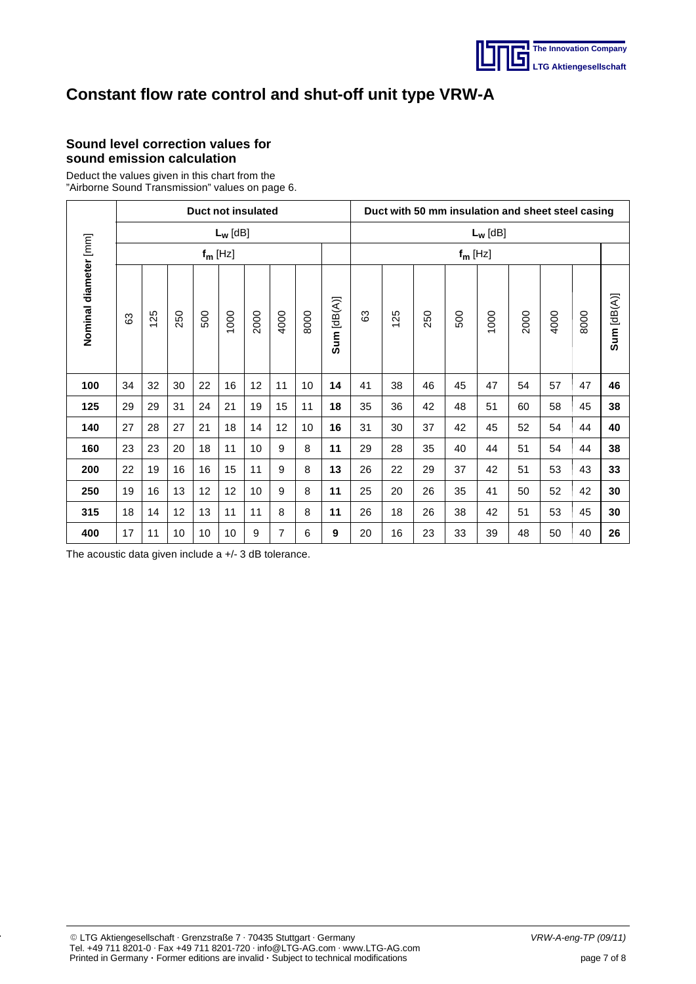

## **Sound level correction values for sound emission calculation**

Deduct the values given in this chart from the "Airborne Sound Transmission" values on page 6.

|                       | Duct not insulated |     |     |     |            |                 |                |      |            |            | Duct with 50 mm insulation and sheet steel casing |     |     |      |      |      |      |             |  |  |
|-----------------------|--------------------|-----|-----|-----|------------|-----------------|----------------|------|------------|------------|---------------------------------------------------|-----|-----|------|------|------|------|-------------|--|--|
|                       |                    |     |     |     | $L_w$ [dB] |                 |                |      |            | $L_w$ [dB] |                                                   |     |     |      |      |      |      |             |  |  |
|                       | $f_m$ [Hz]         |     |     |     |            |                 |                |      |            | $f_m$ [Hz] |                                                   |     |     |      |      |      |      |             |  |  |
| Nominal diameter [mm] | යි                 | 125 | 250 | 500 | 1000       | 2000            | 4000           | 8000 | Sum[dB(A)] | යි         | 125                                               | 250 | 500 | 1000 | 2000 | 4000 | 8000 | Sum [dB(A)] |  |  |
| 100                   | 34                 | 32  | 30  | 22  | 16         | 12              | 11             | 10   | 14         | 41         | 38                                                | 46  | 45  | 47   | 54   | 57   | 47   | 46          |  |  |
| 125                   | 29                 | 29  | 31  | 24  | 21         | 19              | 15             | 11   | 18         | 35         | 36                                                | 42  | 48  | 51   | 60   | 58   | 45   | 38          |  |  |
| 140                   | 27                 | 28  | 27  | 21  | 18         | 14              | 12             | 10   | 16         | 31         | 30                                                | 37  | 42  | 45   | 52   | 54   | 44   | 40          |  |  |
| 160                   | 23                 | 23  | 20  | 18  | 11         | 10 <sup>1</sup> | 9              | 8    | 11         | 29         | 28                                                | 35  | 40  | 44   | 51   | 54   | 44   | 38          |  |  |
| 200                   | 22                 | 19  | 16  | 16  | 15         | 11              | 9              | 8    | 13         | 26         | 22                                                | 29  | 37  | 42   | 51   | 53   | 43   | 33          |  |  |
| 250                   | 19                 | 16  | 13  | 12  | 12         | 10              | 9              | 8    | 11         | 25         | 20                                                | 26  | 35  | 41   | 50   | 52   | 42   | 30          |  |  |
| 315                   | 18                 | 14  | 12  | 13  | 11         | 11              | 8              | 8    | 11         | 26         | 18                                                | 26  | 38  | 42   | 51   | 53   | 45   | 30          |  |  |
| 400                   | 17                 | 11  | 10  | 10  | 10         | 9               | $\overline{7}$ | 6    | 9          | 20         | 16                                                | 23  | 33  | 39   | 48   | 50   | 40   | 26          |  |  |

The acoustic data given include a +/- 3 dB tolerance.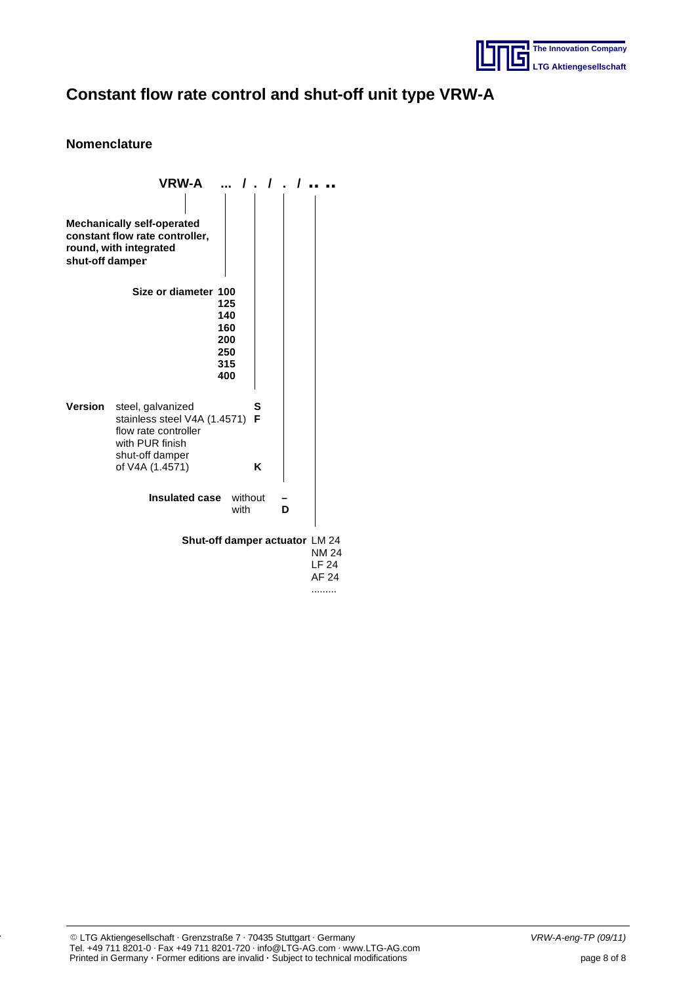

## **Nomenclature**

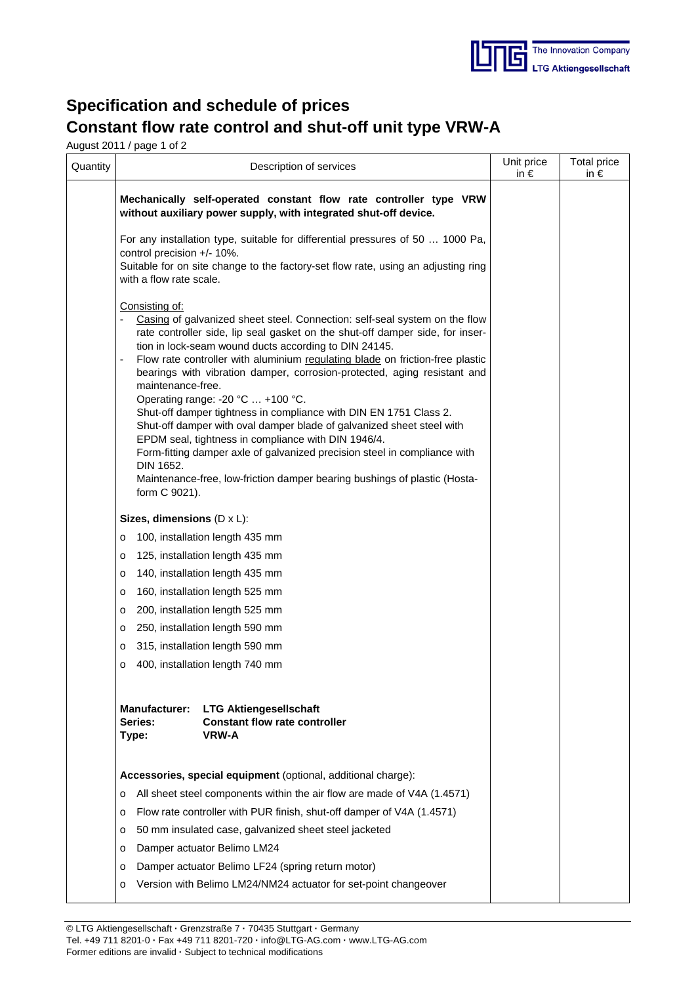

## **Specification and schedule of prices Constant flow rate control and shut-off unit type VRW-A**

August 2011 / page 1 of 2

| Quantity | Description of services                                                                                                                                                                                                                                                                                                                                                                                                                                                                                                                                                                                                                                                                                                                                                                                                                                                                | Unit price<br>in $\epsilon$ | Total price<br>in $\epsilon$ |
|----------|----------------------------------------------------------------------------------------------------------------------------------------------------------------------------------------------------------------------------------------------------------------------------------------------------------------------------------------------------------------------------------------------------------------------------------------------------------------------------------------------------------------------------------------------------------------------------------------------------------------------------------------------------------------------------------------------------------------------------------------------------------------------------------------------------------------------------------------------------------------------------------------|-----------------------------|------------------------------|
|          | Mechanically self-operated constant flow rate controller type VRW<br>without auxiliary power supply, with integrated shut-off device.                                                                                                                                                                                                                                                                                                                                                                                                                                                                                                                                                                                                                                                                                                                                                  |                             |                              |
|          | For any installation type, suitable for differential pressures of 50  1000 Pa,<br>control precision +/- 10%.<br>Suitable for on site change to the factory-set flow rate, using an adjusting ring<br>with a flow rate scale.                                                                                                                                                                                                                                                                                                                                                                                                                                                                                                                                                                                                                                                           |                             |                              |
|          | Consisting of:<br>Casing of galvanized sheet steel. Connection: self-seal system on the flow<br>$\overline{\phantom{a}}$<br>rate controller side, lip seal gasket on the shut-off damper side, for inser-<br>tion in lock-seam wound ducts according to DIN 24145.<br>Flow rate controller with aluminium regulating blade on friction-free plastic<br>bearings with vibration damper, corrosion-protected, aging resistant and<br>maintenance-free.<br>Operating range: -20 °C  +100 °C.<br>Shut-off damper tightness in compliance with DIN EN 1751 Class 2.<br>Shut-off damper with oval damper blade of galvanized sheet steel with<br>EPDM seal, tightness in compliance with DIN 1946/4.<br>Form-fitting damper axle of galvanized precision steel in compliance with<br>DIN 1652.<br>Maintenance-free, low-friction damper bearing bushings of plastic (Hosta-<br>form C 9021). |                             |                              |
|          | Sizes, dimensions $(D \times L)$ :                                                                                                                                                                                                                                                                                                                                                                                                                                                                                                                                                                                                                                                                                                                                                                                                                                                     |                             |                              |
|          | 100, installation length 435 mm<br>$\circ$                                                                                                                                                                                                                                                                                                                                                                                                                                                                                                                                                                                                                                                                                                                                                                                                                                             |                             |                              |
|          | 125, installation length 435 mm<br>$\circ$                                                                                                                                                                                                                                                                                                                                                                                                                                                                                                                                                                                                                                                                                                                                                                                                                                             |                             |                              |
|          | 140, installation length 435 mm<br>o                                                                                                                                                                                                                                                                                                                                                                                                                                                                                                                                                                                                                                                                                                                                                                                                                                                   |                             |                              |
|          | 160, installation length 525 mm<br>o                                                                                                                                                                                                                                                                                                                                                                                                                                                                                                                                                                                                                                                                                                                                                                                                                                                   |                             |                              |
|          | 200, installation length 525 mm<br>$\circ$                                                                                                                                                                                                                                                                                                                                                                                                                                                                                                                                                                                                                                                                                                                                                                                                                                             |                             |                              |
|          | 250, installation length 590 mm<br>$\mathsf{O}$                                                                                                                                                                                                                                                                                                                                                                                                                                                                                                                                                                                                                                                                                                                                                                                                                                        |                             |                              |
|          | 315, installation length 590 mm<br>$\circ$                                                                                                                                                                                                                                                                                                                                                                                                                                                                                                                                                                                                                                                                                                                                                                                                                                             |                             |                              |
|          | 400, installation length 740 mm<br>o                                                                                                                                                                                                                                                                                                                                                                                                                                                                                                                                                                                                                                                                                                                                                                                                                                                   |                             |                              |
|          | Manufacturer: LTG Aktiengesellschaft<br><b>Series:</b><br><b>Constant flow rate controller</b><br><b>VRW-A</b><br>Type:                                                                                                                                                                                                                                                                                                                                                                                                                                                                                                                                                                                                                                                                                                                                                                |                             |                              |
|          | Accessories, special equipment (optional, additional charge):                                                                                                                                                                                                                                                                                                                                                                                                                                                                                                                                                                                                                                                                                                                                                                                                                          |                             |                              |
|          | All sheet steel components within the air flow are made of V4A (1.4571)<br>$\circ$                                                                                                                                                                                                                                                                                                                                                                                                                                                                                                                                                                                                                                                                                                                                                                                                     |                             |                              |
|          | Flow rate controller with PUR finish, shut-off damper of V4A (1.4571)<br>$\circ$                                                                                                                                                                                                                                                                                                                                                                                                                                                                                                                                                                                                                                                                                                                                                                                                       |                             |                              |
|          | 50 mm insulated case, galvanized sheet steel jacketed<br>$\circ$                                                                                                                                                                                                                                                                                                                                                                                                                                                                                                                                                                                                                                                                                                                                                                                                                       |                             |                              |
|          | Damper actuator Belimo LM24<br>$\circ$                                                                                                                                                                                                                                                                                                                                                                                                                                                                                                                                                                                                                                                                                                                                                                                                                                                 |                             |                              |
|          | Damper actuator Belimo LF24 (spring return motor)<br>$\circ$                                                                                                                                                                                                                                                                                                                                                                                                                                                                                                                                                                                                                                                                                                                                                                                                                           |                             |                              |
|          | o Version with Belimo LM24/NM24 actuator for set-point changeover                                                                                                                                                                                                                                                                                                                                                                                                                                                                                                                                                                                                                                                                                                                                                                                                                      |                             |                              |
|          |                                                                                                                                                                                                                                                                                                                                                                                                                                                                                                                                                                                                                                                                                                                                                                                                                                                                                        |                             |                              |